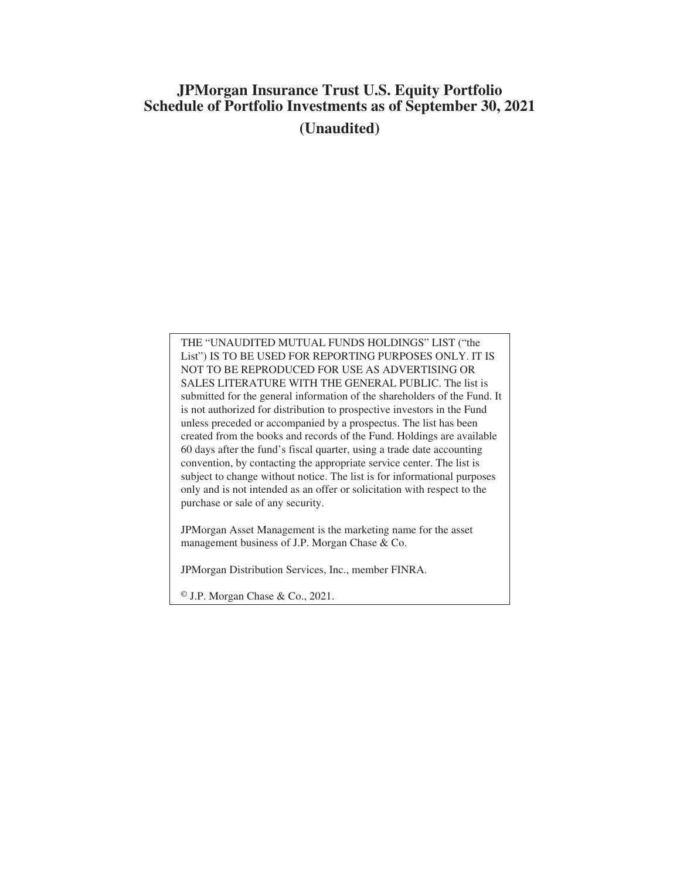# **JPMorgan Insurance Trust U.S. Equity Portfolio Schedule of Portfolio Investments as of September 30, 2021 (Unaudited)**

THE "UNAUDITED MUTUAL FUNDS HOLDINGS" LIST ("the List") IS TO BE USED FOR REPORTING PURPOSES ONLY. IT IS NOT TO BE REPRODUCED FOR USE AS ADVERTISING OR SALES LITERATURE WITH THE GENERAL PUBLIC. The list is submitted for the general information of the shareholders of the Fund. It is not authorized for distribution to prospective investors in the Fund unless preceded or accompanied by a prospectus. The list has been created from the books and records of the Fund. Holdings are available 60 days after the fund's fiscal quarter, using a trade date accounting convention, by contacting the appropriate service center. The list is subject to change without notice. The list is for informational purposes only and is not intended as an offer or solicitation with respect to the purchase or sale of any security.

JPMorgan Asset Management is the marketing name for the asset management business of J.P. Morgan Chase & Co.

JPMorgan Distribution Services, Inc., member FINRA.

© J.P. Morgan Chase & Co., 2021.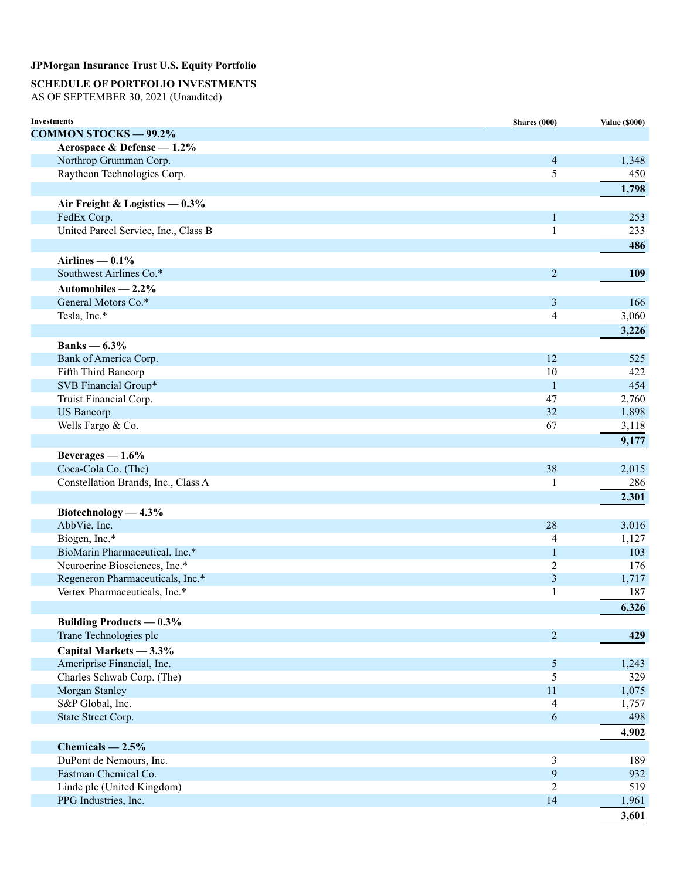# **SCHEDULE OF PORTFOLIO INVESTMENTS**

AS OF SEPTEMBER 30, 2021 (Unaudited)

| <b>Investments</b>                   | Shares (000)             | <b>Value (\$000)</b> |
|--------------------------------------|--------------------------|----------------------|
| <b>COMMON STOCKS - 99.2%</b>         |                          |                      |
| Aerospace & Defense - 1.2%           |                          |                      |
| Northrop Grumman Corp.               | $\overline{\mathcal{A}}$ | 1,348                |
| Raytheon Technologies Corp.          | 5                        | 450                  |
|                                      |                          | 1,798                |
| Air Freight & Logistics - 0.3%       |                          |                      |
| FedEx Corp.                          | $\mathbf{1}$             | 253                  |
| United Parcel Service, Inc., Class B | $\mathbf{1}$             | 233                  |
|                                      |                          | 486                  |
| Airlines $-0.1\%$                    |                          |                      |
| Southwest Airlines Co.*              | $\overline{2}$           | 109                  |
| Automobiles $-2.2\%$                 |                          |                      |
| General Motors Co.*                  | 3                        | 166                  |
| Tesla, Inc.*                         | 4                        | 3,060                |
|                                      |                          |                      |
|                                      |                          | 3,226                |
| Banks $-6.3\%$                       |                          |                      |
| Bank of America Corp.                | 12                       | 525                  |
| Fifth Third Bancorp                  | 10                       | 422                  |
| SVB Financial Group*                 | 1                        | 454                  |
| Truist Financial Corp.               | 47                       | 2,760                |
| <b>US</b> Bancorp                    | 32                       | 1,898                |
| Wells Fargo & Co.                    | 67                       | 3,118                |
|                                      |                          | 9,177                |
| Beverages $-1.6%$                    |                          |                      |
| Coca-Cola Co. (The)                  | 38                       | 2,015                |
| Constellation Brands, Inc., Class A  | 1                        | 286                  |
|                                      |                          | 2,301                |
| Biotechnology — $4.3\%$              |                          |                      |
| AbbVie, Inc.                         | 28                       | 3,016                |
| Biogen, Inc.*                        | 4                        | 1,127                |
| BioMarin Pharmaceutical, Inc.*       | $\mathbf{1}$             | 103                  |
| Neurocrine Biosciences, Inc.*        | 2                        | 176                  |
| Regeneron Pharmaceuticals, Inc.*     | 3                        | 1,717                |
| Vertex Pharmaceuticals, Inc.*        | 1                        | 187                  |
|                                      |                          | 6,326                |
| <b>Building Products — 0.3%</b>      |                          |                      |
| Trane Technologies plc               | $\overline{2}$           | 429                  |
| Capital Markets - 3.3%               |                          |                      |
| Ameriprise Financial, Inc.           | $\sqrt{5}$               | 1,243                |
| Charles Schwab Corp. (The)           | 5                        | 329                  |
| Morgan Stanley                       | $11\,$                   | 1,075                |
| S&P Global, Inc.                     | $\overline{4}$           | 1,757                |
| State Street Corp.                   | 6                        | 498                  |
|                                      |                          | 4,902                |
| Chemicals $-2.5%$                    |                          |                      |
| DuPont de Nemours, Inc.              | 3                        | 189                  |
| Eastman Chemical Co.                 | $\mathbf{9}$             | 932                  |
| Linde plc (United Kingdom)           | $\overline{2}$           | 519                  |
| PPG Industries, Inc.                 | 14                       | 1,961                |
|                                      |                          |                      |
|                                      |                          | 3,601                |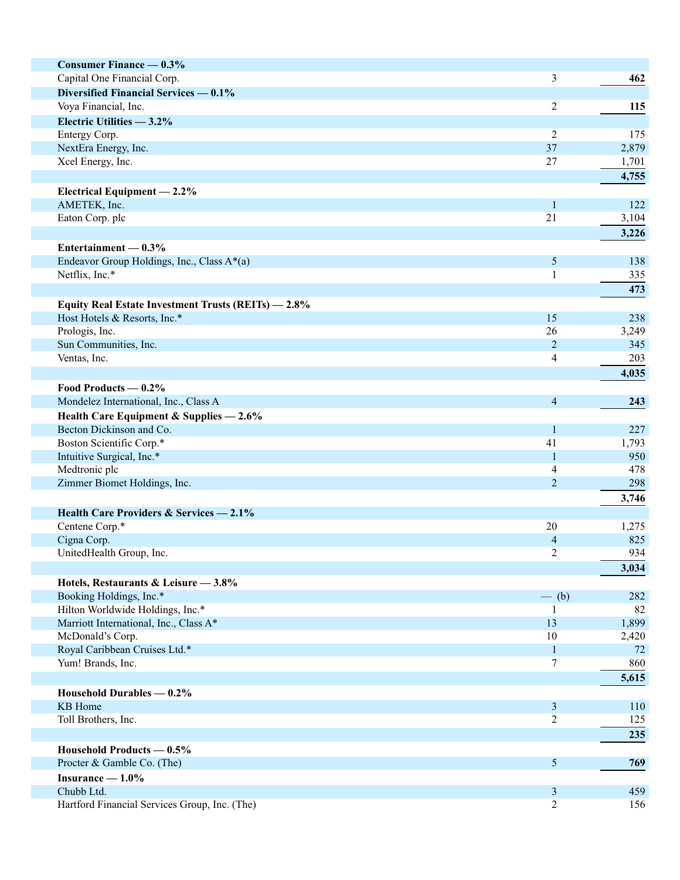| <b>Consumer Finance — 0.3%</b>                      |                          |       |
|-----------------------------------------------------|--------------------------|-------|
| Capital One Financial Corp.                         |                          |       |
|                                                     | 3                        | 462   |
| Diversified Financial Services — 0.1%               |                          |       |
| Voya Financial, Inc.                                | $\overline{c}$           | 115   |
| Electric Utilities - 3.2%                           |                          |       |
| Entergy Corp.                                       | 2                        | 175   |
| NextEra Energy, Inc.                                | 37                       | 2,879 |
| Xcel Energy, Inc.                                   | 27                       | 1,701 |
|                                                     |                          | 4,755 |
| Electrical Equipment $-2.2\%$                       |                          |       |
| AMETEK, Inc.                                        | $\mathbf{1}$             | 122   |
| Eaton Corp. plc                                     | 21                       | 3,104 |
|                                                     |                          | 3,226 |
| Entertainment $-0.3%$                               |                          |       |
| Endeavor Group Holdings, Inc., Class A*(a)          | $\mathfrak{S}$           | 138   |
| Netflix, Inc.*                                      | 1                        | 335   |
|                                                     |                          | 473   |
| Equity Real Estate Investment Trusts (REITs) - 2.8% |                          |       |
| Host Hotels & Resorts, Inc.*                        | 15                       | 238   |
| Prologis, Inc.                                      | 26                       | 3,249 |
| Sun Communities, Inc.                               | $\overline{2}$           | 345   |
| Ventas, Inc.                                        | $\overline{4}$           | 203   |
|                                                     |                          | 4,035 |
| Food Products — 0.2%                                |                          |       |
| Mondelez International, Inc., Class A               | $\overline{\mathcal{A}}$ | 243   |
| Health Care Equipment & Supplies - 2.6%             |                          |       |
| Becton Dickinson and Co.                            | $\mathbf{1}$             | 227   |
| Boston Scientific Corp.*                            | 41                       | 1,793 |
| Intuitive Surgical, Inc.*                           | $\mathbf{1}$             | 950   |
| Medtronic plc                                       | 4                        | 478   |
| Zimmer Biomet Holdings, Inc.                        | $\overline{2}$           | 298   |
|                                                     |                          | 3,746 |
| Health Care Providers & Services - 2.1%             |                          |       |
| Centene Corp.*                                      | 20                       | 1,275 |
| Cigna Corp.                                         | $\overline{\mathcal{A}}$ | 825   |
| UnitedHealth Group, Inc.                            | $\overline{c}$           | 934   |
|                                                     |                          | 3,034 |
| Hotels, Restaurants & Leisure - 3.8%                |                          |       |
| Booking Holdings, Inc.*                             | $-$ (b)                  | 282   |
| Hilton Worldwide Holdings, Inc.*                    | 1                        | 82    |
| Marriott International, Inc., Class A*              | 13                       | 1,899 |
| McDonald's Corp.                                    | 10                       | 2,420 |
| Royal Caribbean Cruises Ltd.*                       | $\mathbf{1}$             | 72    |
| Yum! Brands, Inc.                                   | 7                        | 860   |
|                                                     |                          | 5,615 |
| Household Durables — 0.2%                           |                          |       |
| KB Home                                             | $\mathfrak{Z}$           | 110   |
| Toll Brothers, Inc.                                 | $\overline{c}$           | 125   |
|                                                     |                          |       |
|                                                     |                          | 235   |
| Household Products $-0.5\%$                         |                          |       |
| Procter & Gamble Co. (The)                          | 5                        | 769   |
| Insurance $-1.0\%$                                  |                          |       |
| Chubb Ltd.                                          | $\mathfrak{Z}$           | 459   |
| Hartford Financial Services Group, Inc. (The)       | $\overline{c}$           | 156   |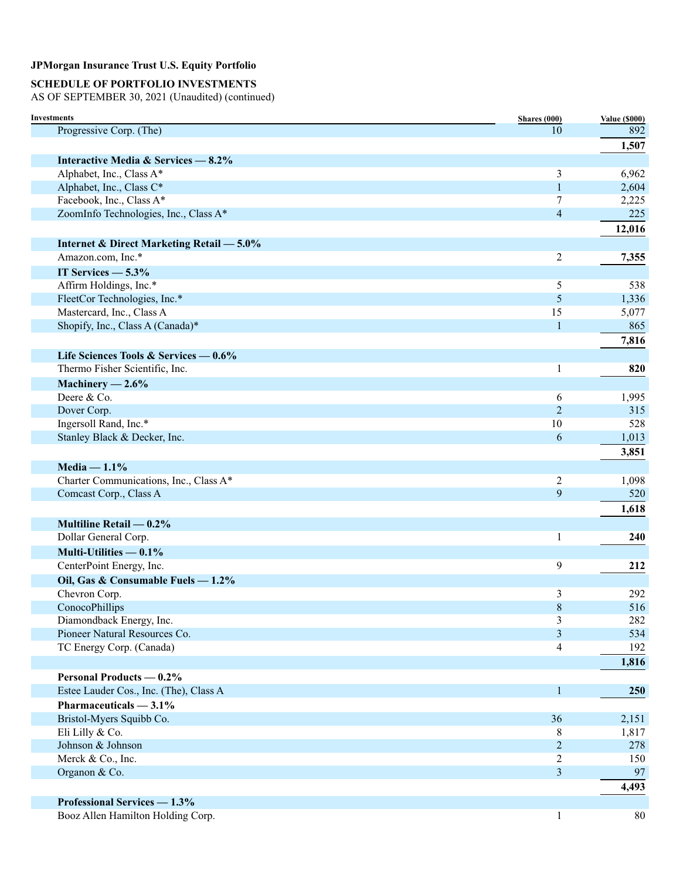# **SCHEDULE OF PORTFOLIO INVESTMENTS**

AS OF SEPTEMBER 30, 2021 (Unaudited) (continued)

| Investments                                          | <b>Shares</b> (000) | <b>Value (\$000)</b> |
|------------------------------------------------------|---------------------|----------------------|
| Progressive Corp. (The)                              | 10                  | 892                  |
|                                                      |                     | 1,507                |
| Interactive Media & Services - 8.2%                  |                     |                      |
| Alphabet, Inc., Class A*                             | 3                   | 6,962                |
| Alphabet, Inc., Class C*                             | 1                   | 2,604                |
| Facebook, Inc., Class A*                             | 7                   | 2,225                |
| ZoomInfo Technologies, Inc., Class A*                | $\overline{4}$      | 225                  |
|                                                      |                     | 12,016               |
| <b>Internet &amp; Direct Marketing Retail - 5.0%</b> |                     |                      |
| Amazon.com, Inc.*                                    | $\mathbf{2}$        | 7,355                |
| IT Services $-5.3\%$                                 |                     |                      |
| Affirm Holdings, Inc.*                               | 5                   | 538                  |
| FleetCor Technologies, Inc.*                         | 5                   | 1,336                |
| Mastercard, Inc., Class A                            | 15                  | 5,077                |
| Shopify, Inc., Class A (Canada)*                     | $\mathbf{1}$        | 865                  |
|                                                      |                     | 7,816                |
| Life Sciences Tools & Services — 0.6%                |                     |                      |
| Thermo Fisher Scientific, Inc.                       | 1                   | 820                  |
| Machinery $-2.6\%$                                   |                     |                      |
| Deere & Co.                                          | 6                   | 1,995                |
| Dover Corp.                                          | $\overline{2}$      | 315                  |
| Ingersoll Rand, Inc.*                                | 10                  | 528                  |
| Stanley Black & Decker, Inc.                         | 6                   | 1,013                |
|                                                      |                     | 3,851                |
| Media $-1.1\%$                                       |                     |                      |
| Charter Communications, Inc., Class A*               | $\overline{c}$      |                      |
| Comcast Corp., Class A                               | 9                   | 1,098<br>520         |
|                                                      |                     |                      |
|                                                      |                     | 1,618                |
| Multiline Retail — 0.2%                              |                     |                      |
| Dollar General Corp.                                 | 1                   | 240                  |
| Multi-Utilities — 0.1%                               |                     |                      |
| CenterPoint Energy, Inc.                             | 9                   | 212                  |
| Oil, Gas & Consumable Fuels - 1.2%                   |                     |                      |
| Chevron Corp.                                        | 3                   | 292                  |
| ConocoPhillips                                       | $\,$ 8 $\,$         | 516                  |
| Diamondback Energy, Inc.                             | 3                   | 282                  |
| Pioneer Natural Resources Co.                        | $\overline{3}$      | 534                  |
| TC Energy Corp. (Canada)                             | $\overline{4}$      | 192                  |
|                                                      |                     | 1,816                |
| <b>Personal Products — 0.2%</b>                      |                     |                      |
| Estee Lauder Cos., Inc. (The), Class A               | $\mathbf{1}$        | 250                  |
| Pharmaceuticals $-3.1\%$                             |                     |                      |
| Bristol-Myers Squibb Co.                             | 36                  | 2,151                |
| Eli Lilly & Co.                                      | 8                   | 1,817                |
| Johnson & Johnson                                    | $\overline{2}$      | 278                  |
| Merck & Co., Inc.                                    | $\overline{2}$      | 150                  |
| Organon & Co.                                        | $\overline{3}$      | 97                   |
|                                                      |                     | 4,493                |
| <b>Professional Services - 1.3%</b>                  |                     |                      |
| Booz Allen Hamilton Holding Corp.                    | 1                   | 80                   |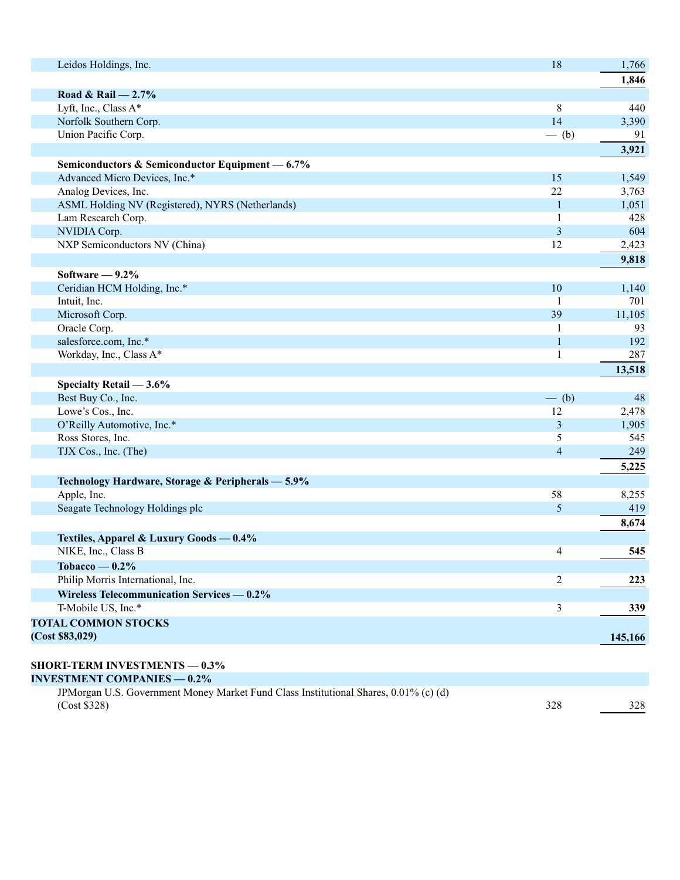| Leidos Holdings, Inc.                                                                | 18                       | 1,766   |
|--------------------------------------------------------------------------------------|--------------------------|---------|
|                                                                                      |                          | 1,846   |
| Road & Rail $-2.7%$                                                                  |                          |         |
| Lyft, Inc., Class A*                                                                 | $8\,$                    | 440     |
| Norfolk Southern Corp.                                                               | 14                       | 3,390   |
| Union Pacific Corp.                                                                  | $-$ (b)                  | 91      |
|                                                                                      |                          | 3,921   |
| Semiconductors & Semiconductor Equipment - 6.7%                                      |                          |         |
| Advanced Micro Devices, Inc.*                                                        | 15                       | 1,549   |
| Analog Devices, Inc.                                                                 | 22                       | 3,763   |
| ASML Holding NV (Registered), NYRS (Netherlands)                                     | 1                        | 1,051   |
| Lam Research Corp.                                                                   | 1                        | 428     |
| NVIDIA Corp.                                                                         | 3                        | 604     |
| NXP Semiconductors NV (China)                                                        | 12                       | 2,423   |
|                                                                                      |                          | 9,818   |
|                                                                                      |                          |         |
| Software $-9.2\%$                                                                    |                          |         |
| Ceridian HCM Holding, Inc.*                                                          | 10                       | 1,140   |
| Intuit, Inc.                                                                         |                          | 701     |
| Microsoft Corp.                                                                      | 39                       | 11,105  |
| Oracle Corp.                                                                         |                          | 93      |
| salesforce.com, Inc.*                                                                |                          | 192     |
| Workday, Inc., Class A*                                                              |                          | 287     |
|                                                                                      |                          | 13,518  |
| Specialty Retail - 3.6%                                                              |                          |         |
| Best Buy Co., Inc.                                                                   | $-$ (b)                  | 48      |
| Lowe's Cos., Inc.                                                                    | 12                       | 2,478   |
| O'Reilly Automotive, Inc.*                                                           | 3                        | 1,905   |
| Ross Stores, Inc.                                                                    | 5                        | 545     |
| TJX Cos., Inc. (The)                                                                 | $\overline{\mathcal{A}}$ | 249     |
|                                                                                      |                          | 5,225   |
| Technology Hardware, Storage & Peripherals - 5.9%                                    |                          |         |
| Apple, Inc.                                                                          | 58                       | 8,255   |
| Seagate Technology Holdings plc                                                      | $\mathfrak{S}$           | 419     |
|                                                                                      |                          | 8,674   |
| Textiles, Apparel & Luxury Goods - 0.4%                                              |                          |         |
| NIKE, Inc., Class B                                                                  | 4                        | 545     |
| Tobacco — $0.2\%$                                                                    |                          |         |
| Philip Morris International, Inc.                                                    | $\overline{c}$           | 223     |
| Wireless Telecommunication Services — 0.2%                                           |                          |         |
| T-Mobile US, Inc.*                                                                   | 3                        | 339     |
| <b>TOTAL COMMON STOCKS</b>                                                           |                          |         |
| (Cost \$83,029)                                                                      |                          | 145,166 |
|                                                                                      |                          |         |
| <b>SHORT-TERM INVESTMENTS - 0.3%</b>                                                 |                          |         |
| <b>INVESTMENT COMPANIES - 0.2%</b>                                                   |                          |         |
| JPMorgan U.S. Government Money Market Fund Class Institutional Shares, 0.01% (c) (d) |                          |         |
|                                                                                      |                          |         |

(Cost \$328) 328 328 328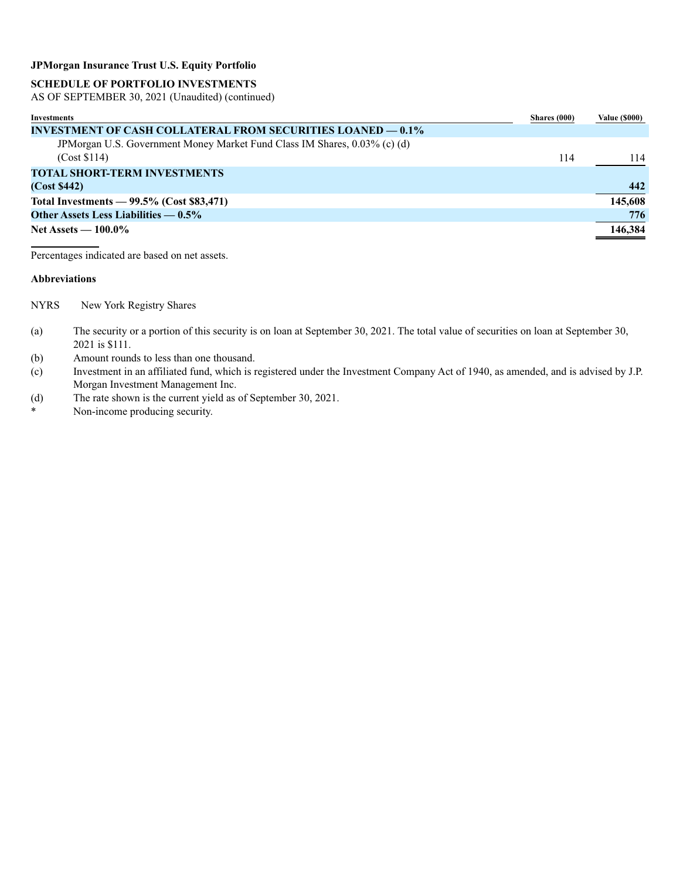# **SCHEDULE OF PORTFOLIO INVESTMENTS**

AS OF SEPTEMBER 30, 2021 (Unaudited) (continued)

| Investments                                                               | Shares (000) | <b>Value (\$000)</b> |
|---------------------------------------------------------------------------|--------------|----------------------|
| <b>INVESTMENT OF CASH COLLATERAL FROM SECURITIES LOANED — 0.1%</b>        |              |                      |
| JPMorgan U.S. Government Money Market Fund Class IM Shares, 0.03% (c) (d) |              |                      |
| (Cost \$114)                                                              | 114          | 114                  |
| <b>TOTAL SHORT-TERM INVESTMENTS</b>                                       |              |                      |
| (Cost \$442)                                                              |              | 442                  |
| Total Investments $-99.5\%$ (Cost \$83,471)                               |              | 145,608              |
| Other Assets Less Liabilities $-0.5\%$                                    |              | 776                  |
| Net Assets $-100.0\%$                                                     |              | 146,384              |

Percentages indicated are based on net assets.

#### **Abbreviations**

NYRS New York Registry Shares

- (a) The security or a portion of this security is on loan at September 30, 2021. The total value of securities on loan at September 30, 2021 is \$111.
- (b) Amount rounds to less than one thousand.
- (c) Investment in an affiliated fund, which is registered under the Investment Company Act of 1940, as amended, and is advised by J.P. Morgan Investment Management Inc.
- (d) The rate shown is the current yield as of September 30, 2021.<br>Non-income producing security
- Non-income producing security.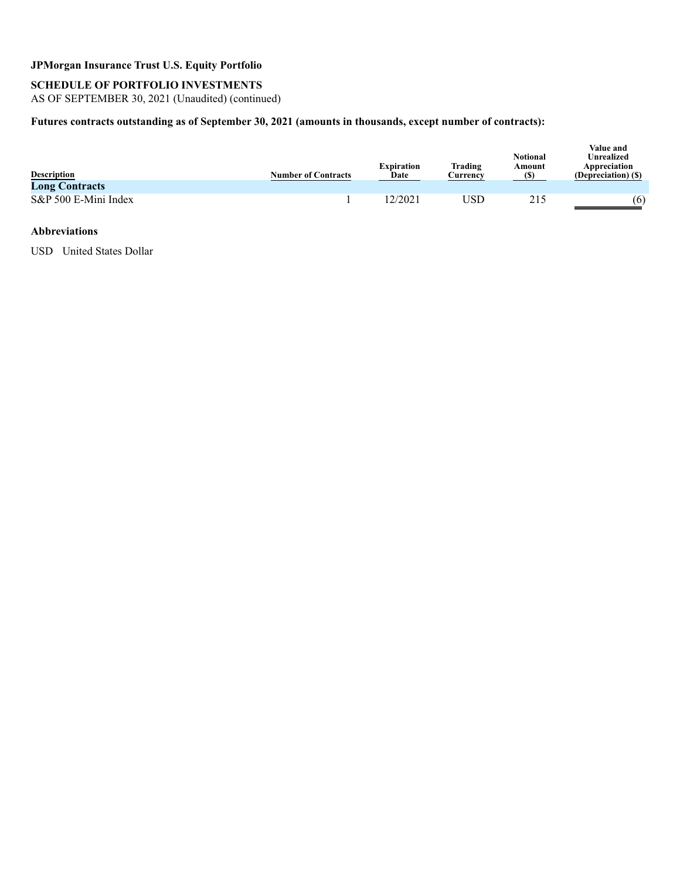# **SCHEDULE OF PORTFOLIO INVESTMENTS**

AS OF SEPTEMBER 30, 2021 (Unaudited) (continued)

# **Futures contracts outstanding as of September 30, 2021 (amounts in thousands, except number of contracts):**

| <b>Description</b><br><b>Long Contracts</b> | <b>Number of Contracts</b> | <b>Expiration</b><br>Date | Trading<br>Currencv | <b>Notional</b><br>Amount<br>$\left( \mathbb{S}\right)$ | Value and<br>Unrealized<br>Appreciation<br>(Depreciation) (\$) |
|---------------------------------------------|----------------------------|---------------------------|---------------------|---------------------------------------------------------|----------------------------------------------------------------|
| S&P 500 E-Mini Index                        |                            | 12/2021                   | JSD                 | 215                                                     | (6)                                                            |

#### **Abbreviations**

USD United States Dollar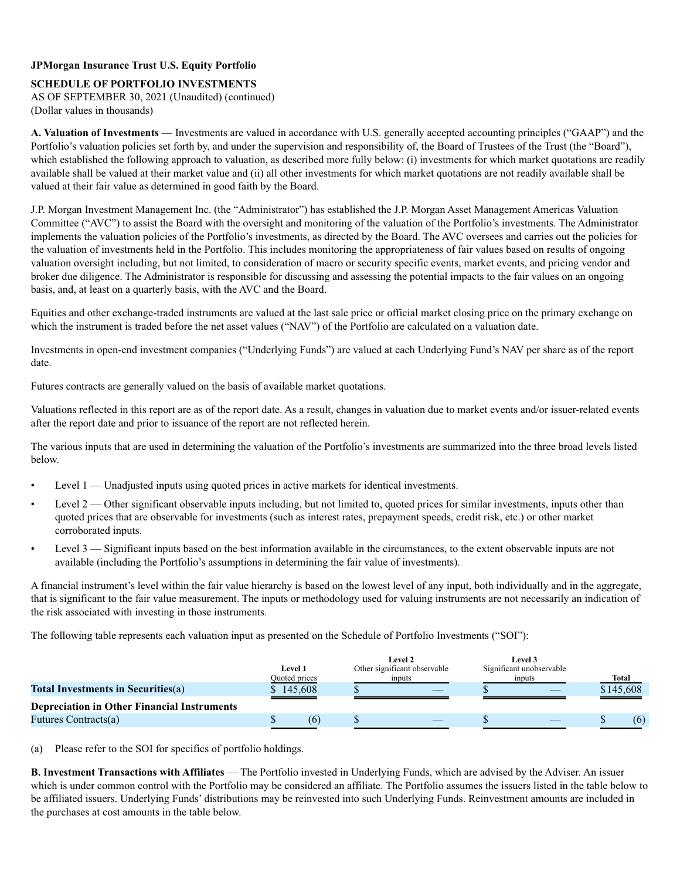# **SCHEDULE OF PORTFOLIO INVESTMENTS**

AS OF SEPTEMBER 30, 2021 (Unaudited) (continued) (Dollar values in thousands)

**A. Valuation of Investments** — Investments are valued in accordance with U.S. generally accepted accounting principles ("GAAP") and the Portfolio's valuation policies set forth by, and under the supervision and responsibility of, the Board of Trustees of the Trust (the "Board"), which established the following approach to valuation, as described more fully below: (i) investments for which market quotations are readily available shall be valued at their market value and (ii) all other investments for which market quotations are not readily available shall be valued at their fair value as determined in good faith by the Board.

J.P. Morgan Investment Management Inc. (the "Administrator") has established the J.P. Morgan Asset Management Americas Valuation Committee ("AVC") to assist the Board with the oversight and monitoring of the valuation of the Portfolio's investments. The Administrator implements the valuation policies of the Portfolio's investments, as directed by the Board. The AVC oversees and carries out the policies for the valuation of investments held in the Portfolio. This includes monitoring the appropriateness of fair values based on results of ongoing valuation oversight including, but not limited, to consideration of macro or security specific events, market events, and pricing vendor and broker due diligence. The Administrator is responsible for discussing and assessing the potential impacts to the fair values on an ongoing basis, and, at least on a quarterly basis, with the AVC and the Board.

Equities and other exchange-traded instruments are valued at the last sale price or official market closing price on the primary exchange on which the instrument is traded before the net asset values ("NAV") of the Portfolio are calculated on a valuation date.

Investments in open-end investment companies ("Underlying Funds") are valued at each Underlying Fund's NAV per share as of the report date.

Futures contracts are generally valued on the basis of available market quotations.

Valuations reflected in this report are as of the report date. As a result, changes in valuation due to market events and/or issuer-related events after the report date and prior to issuance of the report are not reflected herein.

The various inputs that are used in determining the valuation of the Portfolio's investments are summarized into the three broad levels listed below.

- Level 1 Unadjusted inputs using quoted prices in active markets for identical investments.
- Level 2 Other significant observable inputs including, but not limited to, quoted prices for similar investments, inputs other than quoted prices that are observable for investments (such as interest rates, prepayment speeds, credit risk, etc.) or other market corroborated inputs.
- Level 3 Significant inputs based on the best information available in the circumstances, to the extent observable inputs are not available (including the Portfolio's assumptions in determining the fair value of investments).

A financial instrument's level within the fair value hierarchy is based on the lowest level of any input, both individually and in the aggregate, that is significant to the fair value measurement. The inputs or methodology used for valuing instruments are not necessarily an indication of the risk associated with investing in those instruments.

The following table represents each valuation input as presented on the Schedule of Portfolio Investments ("SOI"):

|                                                    | Level 1<br>Quoted prices | <b>Level 2</b><br>Other significant observable<br>inputs | <b>Level 3</b><br>Significant unobservable<br>inputs | Total |  |           |
|----------------------------------------------------|--------------------------|----------------------------------------------------------|------------------------------------------------------|-------|--|-----------|
| <b>Total Investments in Securities(a)</b>          | \$145,608                |                                                          |                                                      |       |  | \$145,608 |
| <b>Depreciation in Other Financial Instruments</b> |                          |                                                          |                                                      |       |  |           |
| Futures Contracts(a)                               | 66                       |                                                          |                                                      |       |  | (6)       |

(a) Please refer to the SOI for specifics of portfolio holdings.

**B. Investment Transactions with Affiliates** — The Portfolio invested in Underlying Funds, which are advised by the Adviser. An issuer which is under common control with the Portfolio may be considered an affiliate. The Portfolio assumes the issuers listed in the table below to be affiliated issuers. Underlying Funds' distributions may be reinvested into such Underlying Funds. Reinvestment amounts are included in the purchases at cost amounts in the table below.